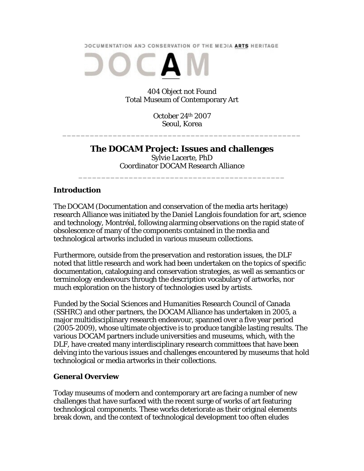**DOCUMENTATION AND CONSERVATION OF THE MEDIA ARTS HERITAGE** 



*404 Object not Found*  Total Museum of Contemporary Art

> October 24th 2007 Seoul, Korea

\_\_\_\_\_\_\_\_\_\_\_\_\_\_\_\_\_\_\_\_\_\_\_\_\_\_\_\_\_\_\_\_\_\_\_\_\_\_\_\_\_\_\_\_\_\_\_\_\_\_\_\_

# **The DOCAM Project: Issues and challenges**

Sylvie Lacerte, PhD Coordinator DOCAM Research Alliance

\_\_\_\_\_\_\_\_\_\_\_\_\_\_\_\_\_\_\_\_\_\_\_\_\_\_\_\_\_\_\_\_\_\_\_\_\_\_\_\_\_\_\_\_\_

### **Introduction**

The DOCAM (Documentation and conservation of the media arts heritage) research Alliance was initiated by the Daniel Langlois foundation for art, science and technology, Montréal, following alarming observations on the rapid state of obsolescence of many of the components contained in the media and technological artworks included in various museum collections.

Furthermore, outside from the preservation and restoration issues, the DLF noted that little research and work had been undertaken on the topics of specific documentation, cataloguing and conservation strategies, as well as semantics or terminology endeavours through the description vocabulary of artworks, nor much exploration on the history of technologies used by artists.

Funded by the Social Sciences and Humanities Research Council of Canada (SSHRC) and other partners, the DOCAM Alliance has undertaken in 2005, a major multidisciplinary research endeavour, spanned over a five year period (2005-2009), whose ultimate objective is to produce tangible lasting results. The various DOCAM partners include universities and museums, which, with the DLF, have created many interdisciplinary research committees that have been delving into the various issues and challenges encountered by museums that hold technological or media artworks in their collections.

#### **General Overview**

Today museums of modern and contemporary art are facing a number of new challenges that have surfaced with the recent surge of works of art featuring technological components. These works deteriorate as their original elements break down, and the context of technological development too often eludes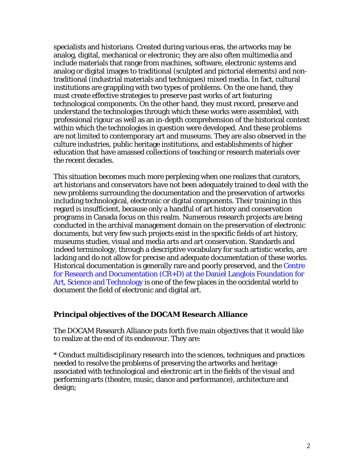specialists and historians. Created during various eras, the artworks may be analog, digital, mechanical or electronic; they are also often multimedia and include materials that range from machines, software, electronic systems and analog or digital images to traditional (sculpted and pictorial elements) and nontraditional (industrial materials and techniques) mixed media. In fact, cultural institutions are grappling with two types of problems. On the one hand, they must create effective strategies to preserve past works of art featuring technological components. On the other hand, they must record, preserve and understand the technologies through which these works were assembled, with professional rigour as well as an in-depth comprehension of the historical context within which the technologies in question were developed. And these problems are not limited to contemporary art and museums. They are also observed in the culture industries, public heritage institutions, and establishments of higher education that have amassed collections of teaching or research materials over the recent decades.

This situation becomes much more perplexing when one realizes that curators, art historians and conservators have not been adequately trained to deal with the new problems surrounding the documentation and the preservation of artworks including technological, electronic or digital components. Their training in this regard is insufficient, because only a handful of art history and conservation programs in Canada focus on this realm. Numerous research projects are being conducted in the archival management domain on the preservation of electronic documents, but very few such projects exist in the specific fields of art history, museums studies, visual and media arts and art conservation. Standards and indeed terminology, through a descriptive vocabulary for such artistic works, are lacking and do not allow for precise and adequate documentation of these works. Historical documentation is generally rare and poorly preserved, and the Centre for Research and Documentation (CR+D) at the Daniel Langlois Foundation for Art, Science and Technology is one of the few places in the occidental world to document the field of electronic and digital art.

### **Principal objectives of the DOCAM Research Alliance**

The DOCAM Research Alliance puts forth five main objectives that it would like to realize at the end of its endeavour. They are:

\* Conduct multidisciplinary research into the sciences, techniques and practices needed to resolve the problems of preserving the artworks and heritage associated with technological and electronic art in the fields of the visual and performing arts (theatre, music, dance and performance), architecture and design;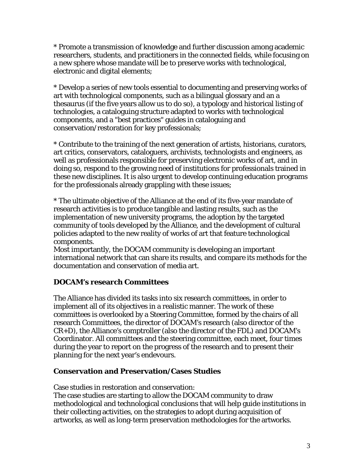\* Promote a transmission of knowledge and further discussion among academic researchers, students, and practitioners in the connected fields, while focusing on a new sphere whose mandate will be to preserve works with technological, electronic and digital elements;

\* Develop a series of new tools essential to documenting and preserving works of art with technological components, such as a bilingual glossary and an a thesaurus (if the five years allow us to do so), a typology and historical listing of technologies, a cataloguing structure adapted to works with technological components, and a "best practices" guides in cataloguing and conservation/restoration for key professionals;

\* Contribute to the training of the next generation of artists, historians, curators, art critics, conservators, cataloguers, archivists, technologists and engineers, as well as professionals responsible for preserving electronic works of art, and in doing so, respond to the growing need of institutions for professionals trained in these new disciplines. It is also urgent to develop continuing education programs for the professionals already grappling with these issues;

\* The ultimate objective of the Alliance at the end of its five-year mandate of research activities is to produce tangible and lasting results, such as the implementation of new university programs, the adoption by the targeted community of tools developed by the Alliance, and the development of cultural policies adapted to the new reality of works of art that feature technological components.

Most importantly, the DOCAM community is developing an important international network that can share its results, and compare its methods for the documentation and conservation of media art.

## **DOCAM's research Committees**

The Alliance has divided its tasks into six research committees, in order to implement all of its objectives in a realistic manner. The work of these committees is overlooked by a Steering Committee, formed by the chairs of all research Committees, the director of DOCAM's research (also director of the CR+D), the Alliance's comptroller (also the director of the FDL) and DOCAM's Coordinator. All committees and the steering committee, each meet, four times during the year to report on the progress of the research and to present their planning for the next year's endevours.

## **Conservation and Preservation/Cases Studies**

Case studies in restoration and conservation:

The case studies are starting to allow the DOCAM community to draw methodological and technological conclusions that will help guide institutions in their collecting activities, on the strategies to adopt during acquisition of artworks, as well as long-term preservation methodologies for the artworks.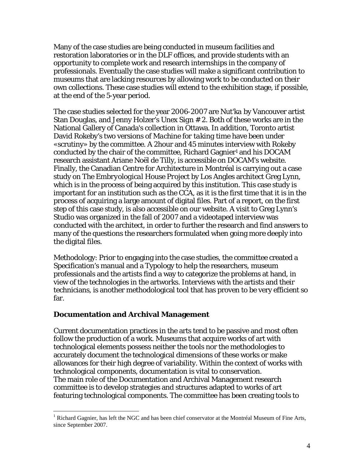Many of the case studies are being conducted in museum facilities and restoration laboratories or in the DLF offices, and provide students with an opportunity to complete work and research internships in the company of professionals. Eventually the case studies will make a significant contribution to museums that are lacking resources by allowing work to be conducted on their own collections. These case studies will extend to the exhibition stage, if possible, at the end of the 5-year period.

The case studies selected for the year 2006-2007 are *Nut'ka* by Vancouver artist Stan Douglas, and Jenny Holzer's *Unex Sign # 2*. Both of these works are in the National Gallery of Canada's collection in Ottawa. In addition, Toronto artist David Rokeby's two versions of *Machine for taking time* have been under «scrutiny» by the committee. A 2hour and 45 minutes interview with Rokeby conducted by the chair of the committee, Richard Gagnier<sup>1</sup> and his DOCAM research assistant Ariane Noël de Tilly, is accessible on DOCAM's website. Finally, the Canadian Centre for Architecture in Montréal is carrying out a case study on *The Embryological House Project* by Los Angles architect Greg Lynn, which is in the process of being acquired by this institution. This case study is important for an institution such as the CCA, as it is the first time that it is in the process of acquiring a large amount of digital files. Part of a report, on the first step of this case study, is also accessible on our website. A visit to Greg Lynn's Studio was organized in the fall of 2007 and a videotaped interview was conducted with the architect, in order to further the research and find answers to many of the questions the researchers formulated when going more deeply into the digital files.

Methodology: Prior to engaging into the case studies, the committee created a Specification's manual and a Typology to help the researchers, museum professionals and the artists find a way to categorize the problems at hand, in view of the technologies in the artworks. Interviews with the artists and their technicians, is another methodological tool that has proven to be very efficient so far.

### **Documentation and Archival Management**

Current documentation practices in the arts tend to be passive and most often follow the production of a work. Museums that acquire works of art with technological elements possess neither the tools nor the methodologies to accurately document the technological dimensions of these works or make allowances for their high degree of variability. Within the context of works with technological components, documentation is vital to conservation. The main role of the Documentation and Archival Management research committee is to develop strategies and structures adapted to works of art featuring technological components. The committee has been creating tools to

 $\frac{1}{1}$ <sup>1</sup> Richard Gagnier, has left the NGC and has been chief conservator at the Montréal Museum of Fine Arts, since September 2007.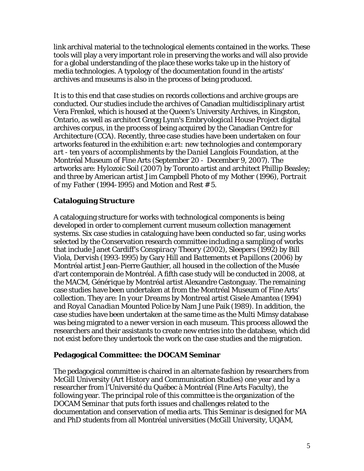link archival material to the technological elements contained in the works. These tools will play a very important role in preserving the works and will also provide for a global understanding of the place these works take up in the history of media technologies. A typology of the documentation found in the artists' archives and museums is also in the process of being produced.

It is to this end that case studies on records collections and archive groups are conducted. Our studies include the archives of Canadian multidisciplinary artist Vera Frenkel, which is housed at the Queen's University Archives, in Kingston, Ontario, as well as architect Gregg Lynn's *Embryological House Project* digital archives corpus, in the process of being acquired by the Canadian Centre for Architecture (CCA). Recently, three case studies have been undertaken on four artworks featured in the exhibition *e:art: new technologies and contemporary art - ten years of accomplishments by the Daniel Langlois Foundation*, at the Montréal Museum of Fine Arts (September 20 - December 9, 2007). The artworks are: *Hylozoic Soil* (2007) by Toronto artist and architect Phillip Beasley; and three by American artist Jim Campbell *Photo of my Mother* (1996), *Portrait of my Father* (1994-1995) and *Motion and Rest # 5*.

# **Cataloguing Structure**

A cataloguing structure for works with technological components is being developed in order to complement current museum collection management systems. Six case studies in cataloguing have been conducted so far, using works selected by the Conservation research committee including a sampling of works that include Janet Cardiff's *Conspiracy Theory* (2002), *Sleepers* (1992) by Bill Viola, *Dervish* (1993-1995) by Gary Hill and *Battements et Papillons* (2006) by Montréal artist Jean-Pierre Gauthier, all housed in the collection of the Musée d'art contemporain de Montréal. A fifth case study will be conducted in 2008, at the MACM, *Générique* by Montréal artist Alexandre Castonguay. The remaining case studies have been undertaken at from the Montréal Museum of Fine Arts' collection. They are: *In your Dreams* by Montreal artist Gisele Amantea (1994) and *Royal Canadian Mounted Police* by Nam June Paik (1989). In addition, the case studies have been undertaken at the same time as the Multi Mimsy database was being migrated to a newer version in each museum. This process allowed the researchers and their assistants to create new entries into the database, which did not exist before they undertook the work on the case studies and the migration.

## **Pedagogical Committee: the DOCAM Seminar**

The pedagogical committee is chaired in an alternate fashion by researchers from McGill University (Art History and Communication Studies) one year and by a researcher from l'Université du Québec à Montréal (Fine Arts Faculty), the following year. The principal role of this committee is the organization of the *DOCAM Seminar* that puts forth issues and challenges related to the documentation and conservation of media arts. This Seminar is designed for MA and PhD students from all Montréal universities (McGill University, UQÀM,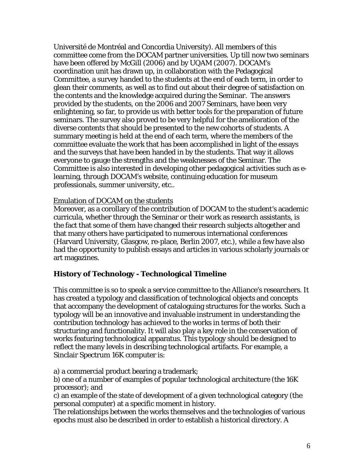Université de Montréal and Concordia University). All members of this committee come from the DOCAM partner universities. Up till now two seminars have been offered by McGill (2006) and by UQAM (2007). DOCAM's coordination unit has drawn up, in collaboration with the Pedagogical Committee, a survey handed to the students at the end of each term, in order to glean their comments, as well as to find out about their degree of satisfaction on the contents and the knowledge acquired during the Seminar. The answers provided by the students, on the 2006 and 2007 Seminars, have been very enlightening, so far, to provide us with better tools for the preparation of future seminars. The survey also proved to be very helpful for the amelioration of the diverse contents that should be presented to the new cohorts of students. A summary meeting is held at the end of each term, where the members of the committee evaluate the work that has been accomplished in light of the essays and the surveys that have been handed in by the students. That way it allows everyone to gauge the strengths and the weaknesses of the Seminar. The Committee is also interested in developing other pedagogical activities such as elearning, through DOCAM's website, continuing education for museum professionals, summer university, etc..

### Emulation of DOCAM on the students

Moreover, as a corollary of the contribution of DOCAM to the student's academic curricula, whether through the Seminar or their work as research assistants, is the fact that some of them have changed their research subjects altogether and that many others have participated to numerous international conferences (Harvard University, Glasgow, re-place, Berlin 2007, etc.), while a few have also had the opportunity to publish essays and articles in various scholarly journals or art magazines.

### **History of Technology - Technological Timeline**

This committee is so to speak a *service committee* to the Alliance's researchers. It has created a typology and classification of technological objects and concepts that accompany the development of cataloguing structures for the works. Such a typology will be an innovative and invaluable instrument in understanding the contribution technology has achieved to the works in terms of both their structuring and functionality. It will also play a key role in the conservation of works featuring technological apparatus. This typology should be designed to reflect the many levels in describing technological artifacts. For example, a Sinclair Spectrum 16K computer is:

a) a commercial product bearing a trademark;

b) one of a number of examples of popular technological architecture (the 16K processor); and

c) an example of the state of development of a given technological category (the personal computer) at a specific moment in history.

The relationships between the works themselves and the technologies of various epochs must also be described in order to establish a historical directory. A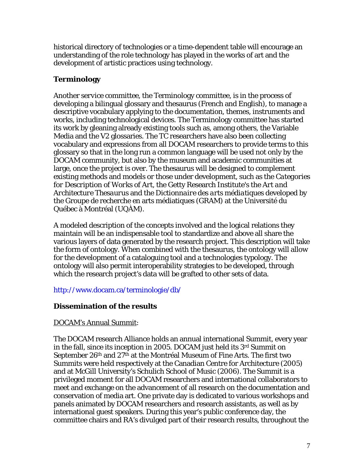historical directory of technologies or a time-dependent table will encourage an understanding of the role technology has played in the works of art and the development of artistic practices using technology.

# **Terminology**

Another *service committee*, the Terminology committee, is in the process of developing a bilingual glossary and thesaurus (French and English), to manage a descriptive vocabulary applying to the documentation, themes, instruments and works, including technological devices. The Terminology committee has started its work by gleaning already existing tools such as, among others, the Variable Media and the V2 glossaries. The TC researchers have also been collecting vocabulary and expressions from all DOCAM researchers to provide terms to this glossary so that in the long run a common language will be used not only by the DOCAM community, but also by the museum and academic communities at large, once the project is over. The thesaurus will be designed to complement existing methods and models or those under development, such as the *Categories for Description of Works of Art*, the Getty Research Institute's the *Art and Architecture Thesaurus* and the *Dictionnaire des arts médiatiques* developed by the Groupe de recherche en arts médiatiques (GRAM) at the Université du Québec à Montréal (UQÀM).

A modeled description of the concepts involved and the logical relations they maintain will be an indispensable tool to standardize and above all share the various layers of data generated by the research project. This description will take the form of ontology. When combined with the thesaurus, the ontology will allow for the development of a cataloguing tool and a technologies typology. The ontology will also permit interoperability strategies to be developed, through which the research project's data will be grafted to other sets of data.

## http://www.docam.ca/terminologie/db/

## **Dissemination of the results**

### DOCAM's Annual Summit:

The DOCAM research Alliance holds an annual international Summit, every year in the fall, since its inception in 2005. DOCAM just held its 3rd Summit on September 26th and 27th at the Montréal Museum of Fine Arts. The first two Summits were held respectively at the Canadian Centre for Architecture (2005) and at McGill University's Schulich School of Music (2006). The Summit is a privileged moment for all DOCAM researchers and international collaborators to meet and exchange on the advancement of all research on the documentation and conservation of media art. One private day is dedicated to various workshops and panels animated by DOCAM researchers and research assistants, as well as by international guest speakers. During this year's public conference day, the committee chairs and RA's divulged part of their research results, throughout the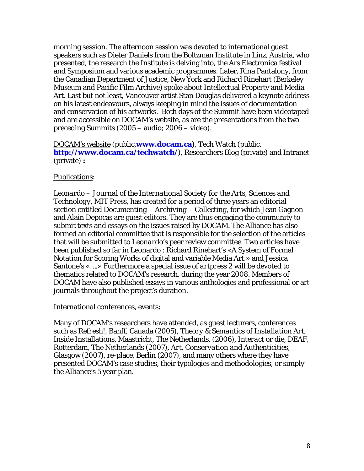morning session. The afternoon session was devoted to international guest speakers such as Dieter Daniels from the Boltzman Institute in Linz, Austria, who presented, the research the Institute is delving into, the Ars Electronica festival and Symposium and various academic programmes. Later, Rina Pantalony, from the Canadian Department of Justice, New York and Richard Rinehart (Berkeley Museum and Pacific Film Archive) spoke about Intellectual Property and Media Art. Last but not least, Vancouver artist Stan Douglas delivered a keynote address on his latest endeavours, always keeping in mind the issues of documentation and conservation of his artworks. Both days of the Summit have been videotaped and are accessible on DOCAM's website, as are the presentations from the two preceding Summits (2005 – audio; 2006 – video).

DOCAM's website (public,**www.docam.ca**), Tech Watch (public, **http://www.docam.ca/techwatch/**), Researchers Blog (private) and Intranet (private) **:**

#### Publications:

*Leonardo – Journal of the International Society for the Arts, Sciences and Technology*, MIT Press, has created for a period of three years an editorial section entitled *Documenting – Archiving – Collecting*, for which Jean Gagnon and Alain Depocas are guest editors. They are thus engaging the community to submit texts and essays on the issues raised by DOCAM. The Alliance has also formed an editorial committee that is responsible for the selection of the articles that will be submitted to *Leonardo*'s peer review committee. Two articles have been published so far in Leonardo : Richard Rinehart's «A System of Formal Notation for Scoring Works of digital and variable Media Art.» and Jessica Santone's «….» Furthermore a special issue of *artpress 2* will be devoted to thematics related to DOCAM's research, during the year 2008. Members of DOCAM have also published essays in various anthologies and professional or art journals throughout the project's duration.

#### International conferences, events**:**

Many of DOCAM's researchers have attended, as guest lecturers, conferences such as *Refresh!,* Banff, Canada (2005), *Theory & Semantics of Installation Art*, Inside Installations, Maastricht, The Netherlands, (2006), *Interact or die*, DEAF, Rotterdam, The Netherlands (2007), *Art, Conservation and Authenticities*, Glasgow (2007), re-place, Berlin (2007), and many others where they have presented DOCAM's case studies, their typologies and methodologies, or simply the Alliance's 5 year plan.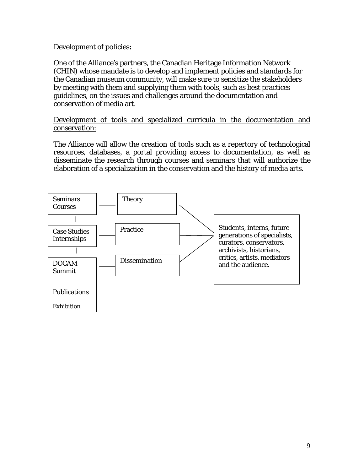## Development of policies**:**

One of the Alliance's partners, the Canadian Heritage Information Network (CHIN) whose mandate is to develop and implement policies and standards for the Canadian museum community, will make sure to sensitize the stakeholders by meeting with them and supplying them with tools, such as best practices guidelines, on the issues and challenges around the documentation and conservation of media art.

## Development of tools and specialized curricula in the documentation and conservation:

The Alliance will allow the creation of tools such as a repertory of technological resources, databases, a portal providing access to documentation, as well as disseminate the research through courses and seminars that will authorize the elaboration of a specialization in the conservation and the history of media arts.

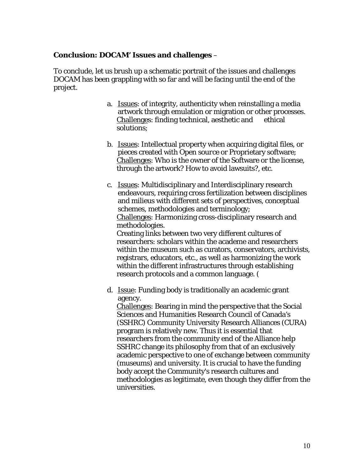## **Conclusion: DOCAM' Issues and challenges** –

To conclude, let us brush up a schematic portrait of the issues and challenges DOCAM has been grappling with so far and will be facing until the end of the project.

- a. Issues: of integrity, authenticity when reinstalling a media artwork through emulation or migration or other processes. Challenges: finding technical, aesthetic and ethical solutions;
- b. Issues: Intellectual property when acquiring digital files, or pieces created with *Open source* or Proprietary software; Challenges: Who is the owner of the Software or the license, through the artwork? How to avoid lawsuits?, etc.
- c. Issues: Multidisciplinary and Interdisciplinary research endeavours, requiring cross fertilization between disciplines and milieus with different sets of perspectives, conceptual schemes, methodologies and terminology; Challenges: Harmonizing cross-disciplinary research and methodologies. Creating links between two very different cultures of researchers: scholars within the academe and researchers

within the museum such as curators, conservators, archivists, registrars, educators, etc., as well as harmonizing the work within the different infrastructures through establishing research protocols and a common language. (

d. Issue: Funding body is traditionally an academic grant agency.

Challenges: Bearing in mind the perspective that the Social Sciences and Humanities Research Council of Canada's (SSHRC) Community University Research Alliances (CURA) program is relatively new. Thus it is essential that researchers from the community end of the Alliance help SSHRC change its philosophy from that of an exclusively academic perspective to one of exchange between community (museums) and university. It is crucial to have the funding body accept the Community's research cultures and methodologies as legitimate, even though they differ from the universities.